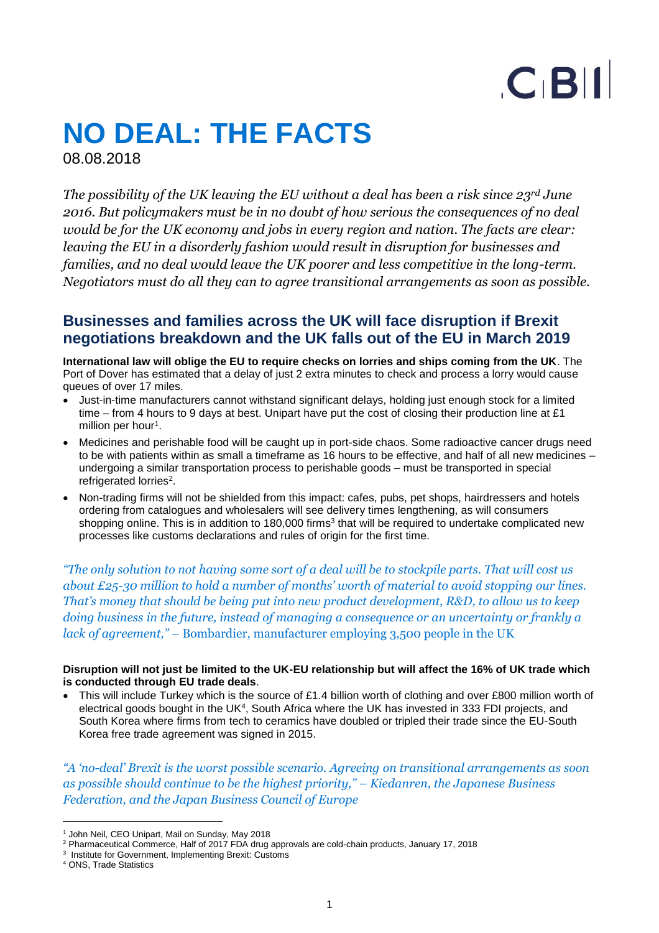# $C$  $B$  $||$

# **NO DEAL: THE FACTS**

08.08.2018

*The possibility of the UK leaving the EU without a deal has been a risk since 23rd June 2016. But policymakers must be in no doubt of how serious the consequences of no deal would be for the UK economy and jobs in every region and nation. The facts are clear: leaving the EU in a disorderly fashion would result in disruption for businesses and families, and no deal would leave the UK poorer and less competitive in the long-term. Negotiators must do all they can to agree transitional arrangements as soon as possible.*

# **Businesses and families across the UK will face disruption if Brexit negotiations breakdown and the UK falls out of the EU in March 2019**

**International law will oblige the EU to require checks on lorries and ships coming from the UK**. The Port of Dover has estimated that a delay of just 2 extra minutes to check and process a lorry would cause queues of over 17 miles.

- Just-in-time manufacturers cannot withstand significant delays, holding just enough stock for a limited time – from 4 hours to 9 days at best. Unipart have put the cost of closing their production line at £1 million per hour<sup>1</sup>.
- Medicines and perishable food will be caught up in port-side chaos. Some radioactive cancer drugs need to be with patients within as small a timeframe as 16 hours to be effective, and half of all new medicines – undergoing a similar transportation process to perishable goods – must be transported in special refrigerated lorries<sup>2</sup>.
- Non-trading firms will not be shielded from this impact: cafes, pubs, pet shops, hairdressers and hotels ordering from catalogues and wholesalers will see delivery times lengthening, as will consumers shopping online. This is in addition to 180,000 firms<sup>3</sup> that will be required to undertake complicated new processes like customs declarations and rules of origin for the first time.

*"The only solution to not having some sort of a deal will be to stockpile parts. That will cost us about £25-30 million to hold a number of months' worth of material to avoid stopping our lines. That's money that should be being put into new product development, R&D, to allow us to keep doing business in the future, instead of managing a consequence or an uncertainty or frankly a lack of agreement," –* Bombardier, manufacturer employing 3,500 people in the UK

#### **Disruption will not just be limited to the UK-EU relationship but will affect the 16% of UK trade which is conducted through EU trade deals**.

• This will include Turkey which is the source of £1.4 billion worth of clothing and over £800 million worth of electrical goods bought in the UK<sup>4</sup>, South Africa where the UK has invested in 333 FDI projects, and South Korea where firms from tech to ceramics have doubled or tripled their trade since the EU-South Korea free trade agreement was signed in 2015.

*"A 'no-deal' Brexit is the worst possible scenario. Agreeing on transitional arrangements as soon as possible should continue to be the highest priority," – Kiedanren, the Japanese Business Federation, and the Japan Business Council of Europe* 

 $\overline{a}$ 

<sup>1</sup> John Neil, CEO Unipart, Mail on Sunday, May 2018

<sup>2</sup> Pharmaceutical Commerce, Half of 2017 FDA drug approvals are cold-chain products, January 17, 2018

<sup>&</sup>lt;sup>3</sup> Institute for Government, Implementing Brexit: Customs

<sup>4</sup> ONS, Trade Statistics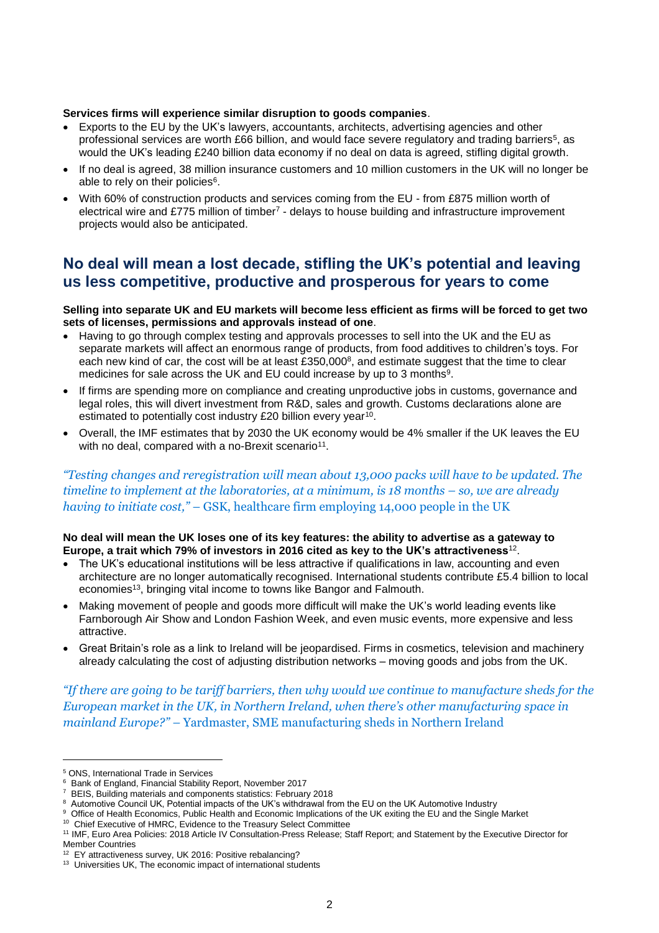#### **Services firms will experience similar disruption to goods companies**.

- Exports to the EU by the UK's lawyers, accountants, architects, advertising agencies and other professional services are worth £66 billion, and would face severe regulatory and trading barriers<sup>5</sup>, as would the UK's leading £240 billion data economy if no deal on data is agreed, stifling digital growth.
- If no deal is agreed, 38 million insurance customers and 10 million customers in the UK will no longer be able to rely on their policies $\rm ^6.$
- With 60% of construction products and services coming from the EU from £875 million worth of electrical wire and £775 million of timber<sup>7</sup> - delays to house building and infrastructure improvement projects would also be anticipated.

# **No deal will mean a lost decade, stifling the UK's potential and leaving us less competitive, productive and prosperous for years to come**

#### **Selling into separate UK and EU markets will become less efficient as firms will be forced to get two sets of licenses, permissions and approvals instead of one**.

- Having to go through complex testing and approvals processes to sell into the UK and the EU as separate markets will affect an enormous range of products, from food additives to children's toys. For each new kind of car, the cost will be at least £350,000 $^{\circ}$ , and estimate suggest that the time to clear medicines for sale across the UK and EU could increase by up to 3 months $^9$ .
- If firms are spending more on compliance and creating unproductive jobs in customs, governance and legal roles, this will divert investment from R&D, sales and growth. Customs declarations alone are estimated to potentially cost industry £20 billion every year<sup>10</sup>.
- Overall, the IMF estimates that by 2030 the UK economy would be 4% smaller if the UK leaves the EU with no deal, compared with a no-Brexit scenario<sup>11</sup>.

#### *"Testing changes and reregistration will mean about 13,000 packs will have to be updated. The timeline to implement at the laboratories, at a minimum, is 18 months – so, we are already having to initiate cost," –* GSK, healthcare firm employing 14,000 people in the UK

#### **No deal will mean the UK loses one of its key features: the ability to advertise as a gateway to Europe, a trait which 79% of investors in 2016 cited as key to the UK's attractiveness**<sup>12</sup> .

- The UK's educational institutions will be less attractive if qualifications in law, accounting and even architecture are no longer automatically recognised. International students contribute £5.4 billion to local economies<sup>13</sup>, bringing vital income to towns like Bangor and Falmouth.
- Making movement of people and goods more difficult will make the UK's world leading events like Farnborough Air Show and London Fashion Week, and even music events, more expensive and less attractive.
- Great Britain's role as a link to Ireland will be jeopardised. Firms in cosmetics, television and machinery already calculating the cost of adjusting distribution networks – moving goods and jobs from the UK.

*"If there are going to be tariff barriers, then why would we continue to manufacture sheds for the European market in the UK, in Northern Ireland, when there's other manufacturing space in mainland Europe?" –* Yardmaster, SME manufacturing sheds in Northern Ireland

 $\overline{a}$ 

<sup>5</sup> ONS, International Trade in Services

<sup>6</sup> Bank of England, Financial Stability Report, November 2017

<sup>7</sup> BEIS, Building materials and components statistics: February 2018

 $^{\rm 8}$  Automotive Council UK, Potential impacts of the UK's withdrawal from the EU on the UK Automotive Industry

<sup>9</sup> Office of Health Economics, Public Health and Economic Implications of the UK exiting the EU and the Single Market

<sup>&</sup>lt;sup>10</sup> Chief Executive of HMRC, Evidence to the Treasury Select Committee

<sup>11</sup> IMF, Euro Area Policies: 2018 Article IV Consultation-Press Release; Staff Report; and Statement by the Executive Director for Member Countries

<sup>&</sup>lt;sup>12</sup> EY attractiveness survey, UK 2016: Positive rebalancing?

<sup>&</sup>lt;sup>13</sup> Universities UK, The economic impact of international students